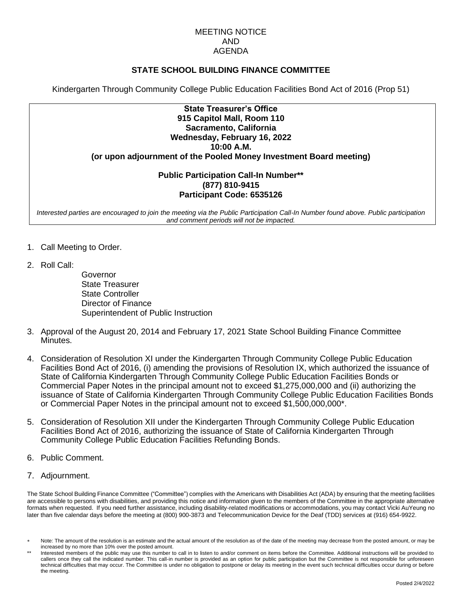#### MEETING NOTICE AND AGENDA

## **STATE SCHOOL BUILDING FINANCE COMMITTEE**

Kindergarten Through Community College Public Education Facilities Bond Act of 2016 (Prop 51)

| <b>State Treasurer's Office</b>                                    |
|--------------------------------------------------------------------|
| 915 Capitol Mall, Room 110                                         |
| Sacramento, California                                             |
| Wednesday, February 16, 2022                                       |
| 10:00 A.M.                                                         |
| (or upon adjournment of the Pooled Money Investment Board meeting) |

### **Public Participation Call-In Number\*\* (877) 810-9415 Participant Code: 6535126**

*Interested parties are encouraged to join the meeting via the Public Participation Call-In Number found above. Public participation and comment periods will not be impacted.*

- 1. Call Meeting to Order.
- 2. Roll Call:

Governor State Treasurer State Controller Director of Finance Superintendent of Public Instruction

- 3. Approval of the August 20, 2014 and February 17, 2021 State School Building Finance Committee Minutes.
- 4. Consideration of Resolution XI under the Kindergarten Through Community College Public Education Facilities Bond Act of 2016, (i) amending the provisions of Resolution IX, which authorized the issuance of State of California Kindergarten Through Community College Public Education Facilities Bonds or Commercial Paper Notes in the principal amount not to exceed \$1,275,000,000 and (ii) authorizing the issuance of State of California Kindergarten Through Community College Public Education Facilities Bonds or Commercial Paper Notes in the principal amount not to exceed \$1,500,000,000\*.
- 5. Consideration of Resolution XII under the Kindergarten Through Community College Public Education Facilities Bond Act of 2016, authorizing the issuance of State of California Kindergarten Through Community College Public Education Facilities Refunding Bonds.
- 6. Public Comment.
- 7. Adjournment.

The State School Building Finance Committee ("Committee") complies with the Americans with Disabilities Act (ADA) by ensuring that the meeting facilities are accessible to persons with disabilities, and providing this notice and information given to the members of the Committee in the appropriate alternative formats when requested. If you need further assistance, including disability-related modifications or accommodations, you may contact Vicki AuYeung no later than five calendar days before the meeting at (800) 900-3873 and Telecommunication Device for the Deaf (TDD) services at (916) 654-9922.

Note: The amount of the resolution is an estimate and the actual amount of the resolution as of the date of the meeting may decrease from the posted amount, or may be increased by no more than 10% over the posted amount.

Interested members of the public may use this number to call in to listen to and/or comment on items before the Committee. Additional instructions will be provided to callers once they call the indicated number. This call-in number is provided as an option for public participation but the Committee is not responsible for unforeseen technical difficulties that may occur. The Committee is under no obligation to postpone or delay its meeting in the event such technical difficulties occur during or before the meeting.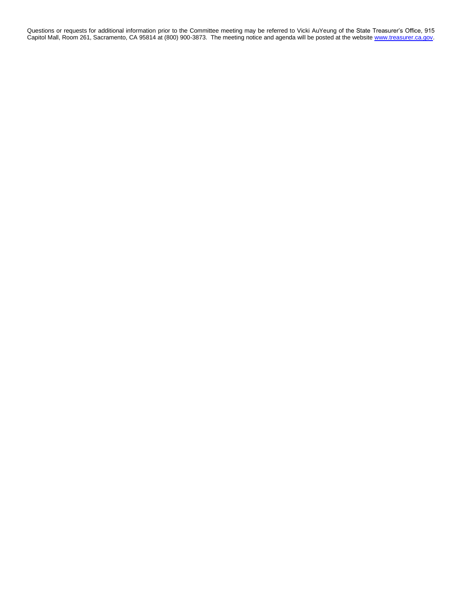Questions or requests for additional information prior to the Committee meeting may be referred to Vicki AuYeung of the State Treasurer's Office, 915 Capitol Mall, Room 261, Sacramento, CA 95814 at (800) 900-3873. The meeting notice and agenda will be posted at the websit[e www.treasurer.ca.gov.](http://www.treasurer.ca.gov/)